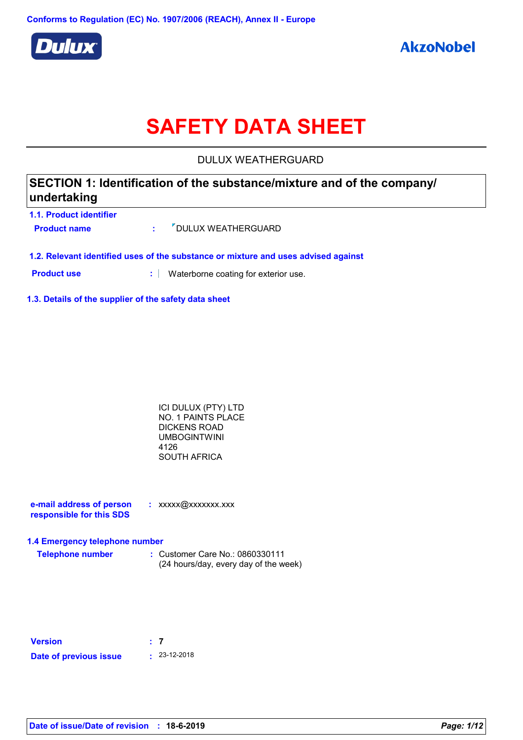

# **SAFETY DATA SHEET**

DULUX WEATHERGUARD

| SECTION 1: Identification of the substance/mixture and of the company/<br>undertaking |  |                                    |  |
|---------------------------------------------------------------------------------------|--|------------------------------------|--|
| 1.1. Product identifier                                                               |  |                                    |  |
| <b>Product name</b>                                                                   |  | <b><i>V</i></b> DULUX WEATHERGUARD |  |

**1.2. Relevant identified uses of the substance or mixture and uses advised against**

**Product use <b>:** Waterborne coating for exterior use.

**1.3. Details of the supplier of the safety data sheet**

ICI DULUX (PTY) LTD NO. 1 PAINTS PLACE DICKENS ROAD UMBOGINTWINI 4126 SOUTH AFRICA

**e-mail address of person responsible for this SDS :** xxxxx@xxxxxxx.xxx

#### **1.4 Emergency telephone number**

**Telephone number :** Customer Care No.: 0860330111 (24 hours/day, every day of the week)

| <b>Version</b>         | $\pm$ 7 |                    |
|------------------------|---------|--------------------|
| Date of previous issue |         | $\cdot$ 23-12-2018 |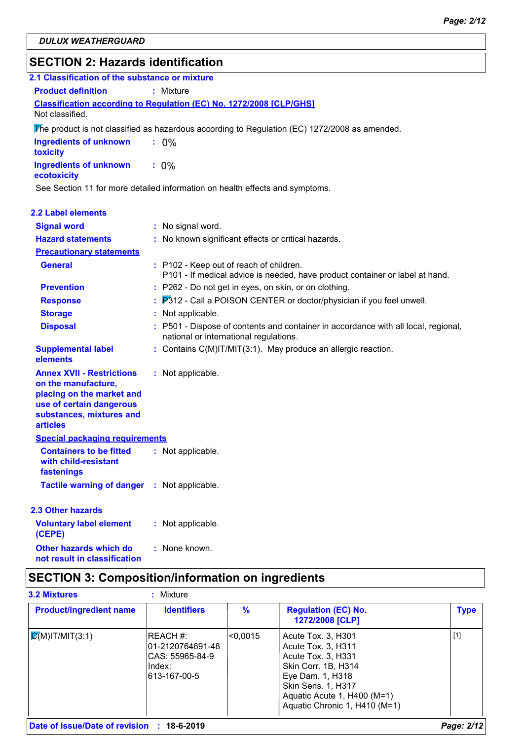# **SECTION 2: Hazards identification**

| 2.1 Classification of the substance or mixture                                                                                                                  |                                                                                                                              |
|-----------------------------------------------------------------------------------------------------------------------------------------------------------------|------------------------------------------------------------------------------------------------------------------------------|
| <b>Product definition</b>                                                                                                                                       | : Mixture                                                                                                                    |
| Not classified.                                                                                                                                                 | Classification according to Regulation (EC) No. 1272/2008 [CLP/GHS]                                                          |
|                                                                                                                                                                 | The product is not classified as hazardous according to Regulation (EC) 1272/2008 as amended.                                |
| <b>Ingredients of unknown</b><br>toxicity                                                                                                                       | $: 0\%$                                                                                                                      |
| <b>Ingredients of unknown</b><br>ecotoxicity                                                                                                                    | $: 0\%$                                                                                                                      |
|                                                                                                                                                                 | See Section 11 for more detailed information on health effects and symptoms.                                                 |
| 2.2 Label elements                                                                                                                                              |                                                                                                                              |
| <b>Signal word</b>                                                                                                                                              | : No signal word.                                                                                                            |
| <b>Hazard statements</b>                                                                                                                                        | : No known significant effects or critical hazards.                                                                          |
| <b>Precautionary statements</b>                                                                                                                                 |                                                                                                                              |
| <b>General</b>                                                                                                                                                  | : P102 - Keep out of reach of children.<br>P101 - If medical advice is needed, have product container or label at hand.      |
| <b>Prevention</b>                                                                                                                                               | : P262 - Do not get in eyes, on skin, or on clothing.                                                                        |
| <b>Response</b>                                                                                                                                                 | P312 - Call a POISON CENTER or doctor/physician if you feel unwell.                                                          |
| <b>Storage</b>                                                                                                                                                  | : Not applicable.                                                                                                            |
| <b>Disposal</b>                                                                                                                                                 | : P501 - Dispose of contents and container in accordance with all local, regional,<br>national or international regulations. |
| <b>Supplemental label</b><br>elements                                                                                                                           | : Contains C(M)IT/MIT(3:1). May produce an allergic reaction.                                                                |
| <b>Annex XVII - Restrictions</b><br>on the manufacture,<br>placing on the market and<br>use of certain dangerous<br>substances, mixtures and<br><b>articles</b> | : Not applicable.                                                                                                            |
| <b>Special packaging requirements</b>                                                                                                                           |                                                                                                                              |
| <b>Containers to be fitted</b><br>with child-resistant<br>fastenings                                                                                            | : Not applicable.                                                                                                            |
| <b>Tactile warning of danger</b>                                                                                                                                | : Not applicable.                                                                                                            |
| 2.3 Other hazards                                                                                                                                               |                                                                                                                              |
| <b>Voluntary label element</b><br>(CEPE)                                                                                                                        | : Not applicable.                                                                                                            |

# **SECTION 3: Composition/information on ingredients**

: None known.

| <b>Product/ingredient name</b> | <b>Identifiers</b>                                                            | $\%$    | <b>Regulation (EC) No.</b><br>1272/2008 [CLP]                                                                                                                                                          | <b>Type</b> |
|--------------------------------|-------------------------------------------------------------------------------|---------|--------------------------------------------------------------------------------------------------------------------------------------------------------------------------------------------------------|-------------|
| $\mathcal{C}(M)$ IT/MIT(3:1)   | IREACH #:<br>l01-2120764691-48<br>ICAS: 55965-84-9<br>lIndex:<br>613-167-00-5 | <0.0015 | Acute Tox. 3, H301<br>Acute Tox. 3, H311<br>Acute Tox. 3, H331<br>Skin Corr. 1B, H314<br>Eye Dam. 1, H318<br><b>Skin Sens. 1, H317</b><br>Aquatic Acute 1, H400 (M=1)<br>Aquatic Chronic 1, H410 (M=1) | $[1]$       |

**Other hazards which do : not result in classification**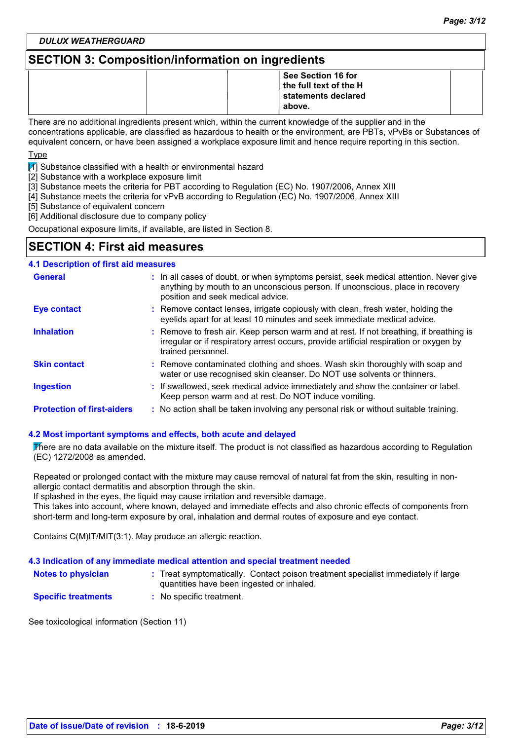*DULUX WEATHERGUARD*

# **SECTION 3: Composition/information on ingredients**

|  | See Section 16 for     |  |
|--|------------------------|--|
|  | the full text of the H |  |
|  | statements declared    |  |
|  | above.                 |  |

There are no additional ingredients present which, within the current knowledge of the supplier and in the concentrations applicable, are classified as hazardous to health or the environment, are PBTs, vPvBs or Substances of equivalent concern, or have been assigned a workplace exposure limit and hence require reporting in this section.

Type

 $\mathbb{Z}$  Substance classified with a health or environmental hazard

[2] Substance with a workplace exposure limit

[3] Substance meets the criteria for PBT according to Regulation (EC) No. 1907/2006, Annex XIII

[4] Substance meets the criteria for vPvB according to Regulation (EC) No. 1907/2006, Annex XIII

[5] Substance of equivalent concern

[6] Additional disclosure due to company policy

Occupational exposure limits, if available, are listed in Section 8.

# **SECTION 4: First aid measures**

#### **:** If swallowed, seek medical advice immediately and show the container or label. Keep person warm and at rest. Do NOT induce vomiting. Remove contact lenses, irrigate copiously with clean, fresh water, holding the **:** eyelids apart for at least 10 minutes and seek immediate medical advice. Remove contaminated clothing and shoes. Wash skin thoroughly with soap and **:** water or use recognised skin cleanser. Do NOT use solvents or thinners. **:** Remove to fresh air. Keep person warm and at rest. If not breathing, if breathing is irregular or if respiratory arrest occurs, provide artificial respiration or oxygen by trained personnel. General **In all cases of doubt, or when symptoms persist, seek medical attention. Never give <b>General** anything by mouth to an unconscious person. If unconscious, place in recovery position and seek medical advice. **Skin contact 4.1 Description of first aid measures Ingestion Inhalation Eye contact Protection of first-aiders** : No action shall be taken involving any personal risk or without suitable training.

#### **4.2 Most important symptoms and effects, both acute and delayed**

There are no data available on the mixture itself. The product is not classified as hazardous according to Regulation (EC) 1272/2008 as amended.

Repeated or prolonged contact with the mixture may cause removal of natural fat from the skin, resulting in nonallergic contact dermatitis and absorption through the skin.

If splashed in the eyes, the liquid may cause irritation and reversible damage.

This takes into account, where known, delayed and immediate effects and also chronic effects of components from short-term and long-term exposure by oral, inhalation and dermal routes of exposure and eye contact.

Contains C(M)IT/MIT(3:1). May produce an allergic reaction.

#### **4.3 Indication of any immediate medical attention and special treatment needed**

| <b>Notes to physician</b> |                                           | : Treat symptomatically. Contact poison treatment specialist immediately if large |
|---------------------------|-------------------------------------------|-----------------------------------------------------------------------------------|
|                           | quantities have been ingested or inhaled. |                                                                                   |

**Specific treatments :** No specific treatment.

See toxicological information (Section 11)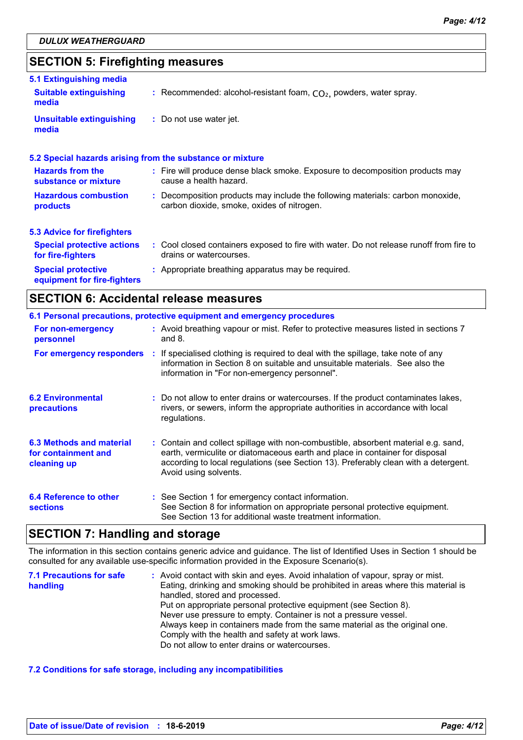# **SECTION 5: Firefighting measures**

| 5.1 Extinguishing media                                  |                                                                                                                              |
|----------------------------------------------------------|------------------------------------------------------------------------------------------------------------------------------|
| <b>Suitable extinguishing</b><br>media                   | : Recommended: alcohol-resistant foam, $CO2$ , powders, water spray.                                                         |
| <b>Unsuitable extinguishing</b><br>media                 | : Do not use water jet.                                                                                                      |
|                                                          | 5.2 Special hazards arising from the substance or mixture                                                                    |
| <b>Hazards from the</b><br>substance or mixture          | : Fire will produce dense black smoke. Exposure to decomposition products may<br>cause a health hazard.                      |
| <b>Hazardous combustion</b><br>products                  | : Decomposition products may include the following materials: carbon monoxide,<br>carbon dioxide, smoke, oxides of nitrogen. |
| <b>5.3 Advice for firefighters</b>                       |                                                                                                                              |
| <b>Special protective actions</b><br>for fire-fighters   | : Cool closed containers exposed to fire with water. Do not release runoff from fire to<br>drains or watercourses.           |
| <b>Special protective</b><br>equipment for fire-fighters | : Appropriate breathing apparatus may be required.                                                                           |

# **SECTION 6: Accidental release measures**

|                                                                       | 6.1 Personal precautions, protective equipment and emergency procedures                                                                                                                                                                                                            |
|-----------------------------------------------------------------------|------------------------------------------------------------------------------------------------------------------------------------------------------------------------------------------------------------------------------------------------------------------------------------|
| For non-emergency<br>personnel                                        | : Avoid breathing vapour or mist. Refer to protective measures listed in sections 7<br>and $8.$                                                                                                                                                                                    |
|                                                                       | For emergency responders : If specialised clothing is required to deal with the spillage, take note of any<br>information in Section 8 on suitable and unsuitable materials. See also the<br>information in "For non-emergency personnel".                                         |
| <b>6.2 Environmental</b><br>precautions                               | : Do not allow to enter drains or watercourses. If the product contaminates lakes,<br>rivers, or sewers, inform the appropriate authorities in accordance with local<br>regulations.                                                                                               |
| <b>6.3 Methods and material</b><br>for containment and<br>cleaning up | : Contain and collect spillage with non-combustible, absorbent material e.g. sand,<br>earth, vermiculite or diatomaceous earth and place in container for disposal<br>according to local regulations (see Section 13). Preferably clean with a detergent.<br>Avoid using solvents. |
| 6.4 Reference to other<br><b>sections</b>                             | : See Section 1 for emergency contact information.<br>See Section 8 for information on appropriate personal protective equipment.<br>See Section 13 for additional waste treatment information.                                                                                    |

### **SECTION 7: Handling and storage**

The information in this section contains generic advice and guidance. The list of Identified Uses in Section 1 should be consulted for any available use-specific information provided in the Exposure Scenario(s).

| <b>7.1 Precautions for safe</b> | : Avoid contact with skin and eyes. Avoid inhalation of vapour, spray or mist.    |
|---------------------------------|-----------------------------------------------------------------------------------|
| handling                        | Eating, drinking and smoking should be prohibited in areas where this material is |
|                                 | handled, stored and processed.                                                    |
|                                 | Put on appropriate personal protective equipment (see Section 8).                 |
|                                 | Never use pressure to empty. Container is not a pressure vessel.                  |
|                                 | Always keep in containers made from the same material as the original one.        |
|                                 | Comply with the health and safety at work laws.                                   |
|                                 | Do not allow to enter drains or watercourses.                                     |

#### **7.2 Conditions for safe storage, including any incompatibilities**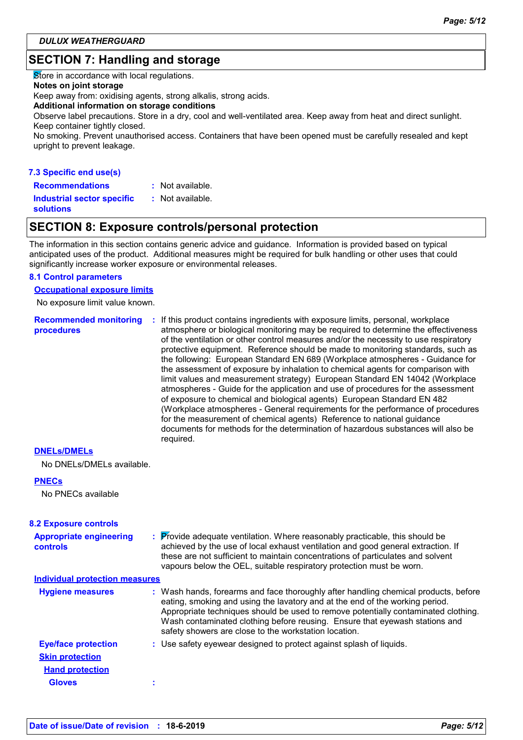# **SECTION 7: Handling and storage**

Store in accordance with local regulations.

#### **Notes on joint storage**

Keep away from: oxidising agents, strong alkalis, strong acids.

#### **Additional information on storage conditions**

Observe label precautions. Store in a dry, cool and well-ventilated area. Keep away from heat and direct sunlight. Keep container tightly closed.

No smoking. Prevent unauthorised access. Containers that have been opened must be carefully resealed and kept upright to prevent leakage.

#### **7.3 Specific end use(s) Recommendations :**

: Not available.

**Industrial sector specific : solutions**

### **SECTION 8: Exposure controls/personal protection**

: Not available.

The information in this section contains generic advice and guidance. Information is provided based on typical anticipated uses of the product. Additional measures might be required for bulk handling or other uses that could significantly increase worker exposure or environmental releases.

#### **8.1 Control parameters**

**Occupational exposure limits**

No exposure limit value known.

**Recommended monitoring procedures :** If this product contains ingredients with exposure limits, personal, workplace atmosphere or biological monitoring may be required to determine the effectiveness of the ventilation or other control measures and/or the necessity to use respiratory protective equipment. Reference should be made to monitoring standards, such as the following: European Standard EN 689 (Workplace atmospheres - Guidance for the assessment of exposure by inhalation to chemical agents for comparison with limit values and measurement strategy) European Standard EN 14042 (Workplace atmospheres - Guide for the application and use of procedures for the assessment of exposure to chemical and biological agents) European Standard EN 482 (Workplace atmospheres - General requirements for the performance of procedures for the measurement of chemical agents) Reference to national guidance documents for methods for the determination of hazardous substances will also be required.

#### **DNELs/DMELs**

No DNELs/DMELs available.

#### **PNECs**

No PNECs available

| <b>8.2 Exposure controls</b>                      |                                                                                                                                                                                                                                                                                                                                                                                                   |
|---------------------------------------------------|---------------------------------------------------------------------------------------------------------------------------------------------------------------------------------------------------------------------------------------------------------------------------------------------------------------------------------------------------------------------------------------------------|
| <b>Appropriate engineering</b><br><b>controls</b> | : Provide adequate ventilation. Where reasonably practicable, this should be<br>achieved by the use of local exhaust ventilation and good general extraction. If<br>these are not sufficient to maintain concentrations of particulates and solvent<br>vapours below the OEL, suitable respiratory protection must be worn.                                                                       |
| <b>Individual protection measures</b>             |                                                                                                                                                                                                                                                                                                                                                                                                   |
| <b>Hygiene measures</b>                           | : Wash hands, forearms and face thoroughly after handling chemical products, before<br>eating, smoking and using the lavatory and at the end of the working period.<br>Appropriate techniques should be used to remove potentially contaminated clothing.<br>Wash contaminated clothing before reusing. Ensure that eyewash stations and<br>safety showers are close to the workstation location. |
| <b>Eye/face protection</b>                        | : Use safety eyewear designed to protect against splash of liquids.                                                                                                                                                                                                                                                                                                                               |
| <b>Skin protection</b>                            |                                                                                                                                                                                                                                                                                                                                                                                                   |
| <b>Hand protection</b>                            |                                                                                                                                                                                                                                                                                                                                                                                                   |
| <b>Gloves</b>                                     |                                                                                                                                                                                                                                                                                                                                                                                                   |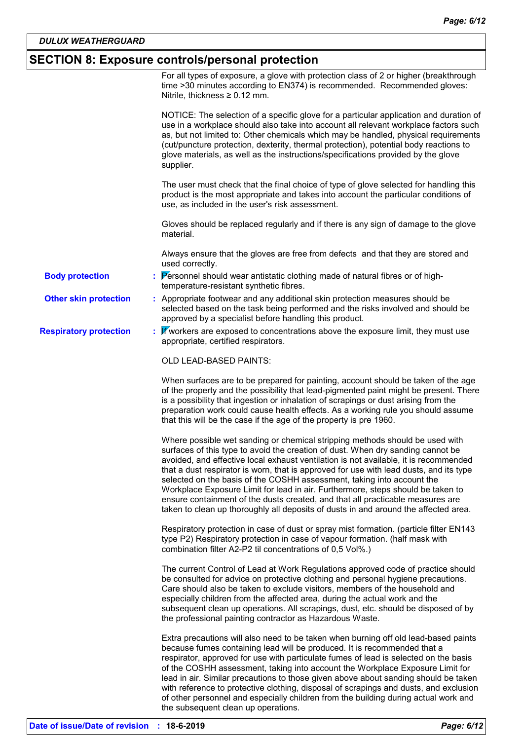# **SECTION 8: Exposure controls/personal protection**

|                               | For all types of exposure, a glove with protection class of 2 or higher (breakthrough<br>time >30 minutes according to EN374) is recommended. Recommended gloves:<br>Nitrile, thickness $\geq 0.12$ mm.                                                                                                                                                                                                                                                                                                                                                                                                                                                                                 |
|-------------------------------|-----------------------------------------------------------------------------------------------------------------------------------------------------------------------------------------------------------------------------------------------------------------------------------------------------------------------------------------------------------------------------------------------------------------------------------------------------------------------------------------------------------------------------------------------------------------------------------------------------------------------------------------------------------------------------------------|
|                               | NOTICE: The selection of a specific glove for a particular application and duration of<br>use in a workplace should also take into account all relevant workplace factors such<br>as, but not limited to: Other chemicals which may be handled, physical requirements<br>(cut/puncture protection, dexterity, thermal protection), potential body reactions to<br>glove materials, as well as the instructions/specifications provided by the glove<br>supplier.                                                                                                                                                                                                                        |
|                               | The user must check that the final choice of type of glove selected for handling this<br>product is the most appropriate and takes into account the particular conditions of<br>use, as included in the user's risk assessment.                                                                                                                                                                                                                                                                                                                                                                                                                                                         |
|                               | Gloves should be replaced regularly and if there is any sign of damage to the glove<br>material.                                                                                                                                                                                                                                                                                                                                                                                                                                                                                                                                                                                        |
|                               | Always ensure that the gloves are free from defects and that they are stored and<br>used correctly.                                                                                                                                                                                                                                                                                                                                                                                                                                                                                                                                                                                     |
| <b>Body protection</b>        | : Personnel should wear antistatic clothing made of natural fibres or of high-<br>temperature-resistant synthetic fibres.                                                                                                                                                                                                                                                                                                                                                                                                                                                                                                                                                               |
| <b>Other skin protection</b>  | : Appropriate footwear and any additional skin protection measures should be<br>selected based on the task being performed and the risks involved and should be<br>approved by a specialist before handling this product.                                                                                                                                                                                                                                                                                                                                                                                                                                                               |
| <b>Respiratory protection</b> | : <i>W</i> workers are exposed to concentrations above the exposure limit, they must use<br>appropriate, certified respirators.                                                                                                                                                                                                                                                                                                                                                                                                                                                                                                                                                         |
|                               | OLD LEAD-BASED PAINTS:                                                                                                                                                                                                                                                                                                                                                                                                                                                                                                                                                                                                                                                                  |
|                               | When surfaces are to be prepared for painting, account should be taken of the age<br>of the property and the possibility that lead-pigmented paint might be present. There<br>is a possibility that ingestion or inhalation of scrapings or dust arising from the<br>preparation work could cause health effects. As a working rule you should assume<br>that this will be the case if the age of the property is pre 1960.                                                                                                                                                                                                                                                             |
|                               | Where possible wet sanding or chemical stripping methods should be used with<br>surfaces of this type to avoid the creation of dust. When dry sanding cannot be<br>avoided, and effective local exhaust ventilation is not available, it is recommended<br>that a dust respirator is worn, that is approved for use with lead dusts, and its type<br>selected on the basis of the COSHH assessment, taking into account the<br>Workplace Exposure Limit for lead in air. Furthermore, steps should be taken to<br>ensure containment of the dusts created, and that all practicable measures are<br>taken to clean up thoroughly all deposits of dusts in and around the affected area. |
|                               | Respiratory protection in case of dust or spray mist formation. (particle filter EN143<br>type P2) Respiratory protection in case of vapour formation. (half mask with<br>combination filter A2-P2 til concentrations of 0,5 Vol%.)                                                                                                                                                                                                                                                                                                                                                                                                                                                     |
|                               | The current Control of Lead at Work Regulations approved code of practice should<br>be consulted for advice on protective clothing and personal hygiene precautions.<br>Care should also be taken to exclude visitors, members of the household and<br>especially children from the affected area, during the actual work and the<br>subsequent clean up operations. All scrapings, dust, etc. should be disposed of by<br>the professional painting contractor as Hazardous Waste.                                                                                                                                                                                                     |
|                               | Extra precautions will also need to be taken when burning off old lead-based paints<br>because fumes containing lead will be produced. It is recommended that a<br>respirator, approved for use with particulate fumes of lead is selected on the basis<br>of the COSHH assessment, taking into account the Workplace Exposure Limit for<br>lead in air. Similar precautions to those given above about sanding should be taken<br>with reference to protective clothing, disposal of scrapings and dusts, and exclusion<br>of other personnel and especially children from the building during actual work and                                                                         |

the subsequent clean up operations.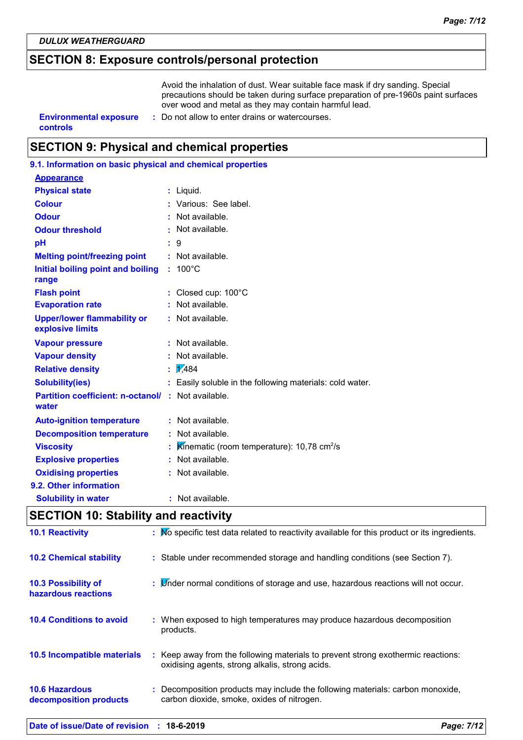# **SECTION 8: Exposure controls/personal protection**

Avoid the inhalation of dust. Wear suitable face mask if dry sanding. Special precautions should be taken during surface preparation of pre-1960s paint surfaces over wood and metal as they may contain harmful lead.

**controls**

- **Environmental exposure : Do not allow to enter drains or watercourses.** 
	-

# **SECTION 9: Physical and chemical properties**

| 9.1. Information on basic physical and chemical properties |    |                                                            |
|------------------------------------------------------------|----|------------------------------------------------------------|
| <b>Appearance</b>                                          |    |                                                            |
| <b>Physical state</b>                                      |    | Liguid.                                                    |
| <b>Colour</b>                                              |    | Various: See label.                                        |
| <b>Odour</b>                                               |    | Not available.                                             |
| <b>Odour threshold</b>                                     |    | Not available.                                             |
| pH                                                         |    | 9                                                          |
| <b>Melting point/freezing point</b>                        |    | $:$ Not available.                                         |
| Initial boiling point and boiling<br>range                 |    | $: 100^{\circ}$ C                                          |
| <b>Flash point</b>                                         |    | Closed cup: 100°C                                          |
| <b>Evaporation rate</b>                                    |    | Not available.                                             |
| <b>Upper/lower flammability or</b><br>explosive limits     |    | : Not available.                                           |
| <b>Vapour pressure</b>                                     |    | Not available.                                             |
| <b>Vapour density</b>                                      |    | Not available.                                             |
| <b>Relative density</b>                                    | t  | 1/484                                                      |
| <b>Solubility(ies)</b>                                     | t. | Easily soluble in the following materials: cold water.     |
| <b>Partition coefficient: n-octanol/</b><br>water          |    | : Not available.                                           |
| <b>Auto-ignition temperature</b>                           |    | : Not available.                                           |
| <b>Decomposition temperature</b>                           |    | Not available.                                             |
| <b>Viscosity</b>                                           |    | Kinematic (room temperature): 10,78 $\text{cm}^2/\text{s}$ |
| <b>Explosive properties</b>                                |    | : Not available.                                           |
| <b>Oxidising properties</b>                                |    | : Not available.                                           |
| 9.2. Other information                                     |    |                                                            |
| <b>Solubility in water</b>                                 |    | Not available.                                             |
|                                                            |    |                                                            |

# **SECTION 10: Stability and reactivity**

| Date of issue/Date of revision : 18-6-2019        |                                                                                                                                     | Page: 7/12 |
|---------------------------------------------------|-------------------------------------------------------------------------------------------------------------------------------------|------------|
| <b>10.6 Hazardous</b><br>decomposition products   | : Decomposition products may include the following materials: carbon monoxide,<br>carbon dioxide, smoke, oxides of nitrogen.        |            |
| 10.5 Incompatible materials                       | : Keep away from the following materials to prevent strong exothermic reactions:<br>oxidising agents, strong alkalis, strong acids. |            |
| <b>10.4 Conditions to avoid</b>                   | : When exposed to high temperatures may produce hazardous decomposition<br>products.                                                |            |
| <b>10.3 Possibility of</b><br>hazardous reactions | : Linder normal conditions of storage and use, hazardous reactions will not occur.                                                  |            |
| <b>10.2 Chemical stability</b>                    | : Stable under recommended storage and handling conditions (see Section 7).                                                         |            |
| <b>10.1 Reactivity</b>                            | : No specific test data related to reactivity available for this product or its ingredients.                                        |            |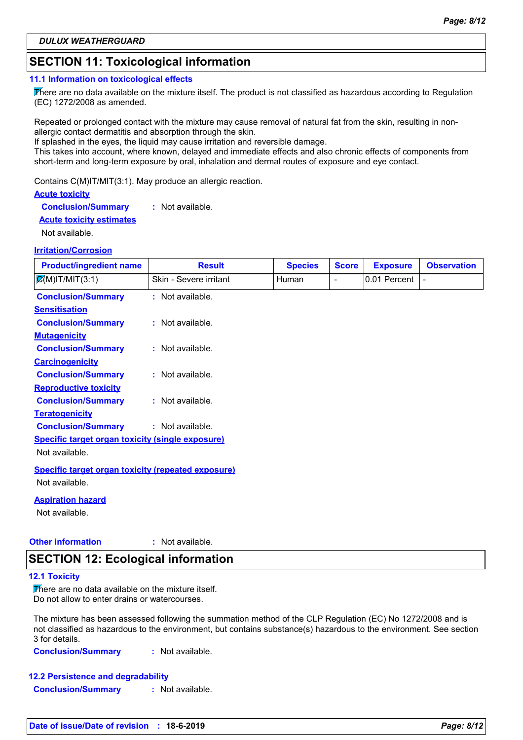# **SECTION 11: Toxicological information**

#### **11.1 Information on toxicological effects**

There are no data available on the mixture itself. The product is not classified as hazardous according to Regulation (EC) 1272/2008 as amended.

Repeated or prolonged contact with the mixture may cause removal of natural fat from the skin, resulting in nonallergic contact dermatitis and absorption through the skin.

If splashed in the eyes, the liquid may cause irritation and reversible damage.

This takes into account, where known, delayed and immediate effects and also chronic effects of components from short-term and long-term exposure by oral, inhalation and dermal routes of exposure and eye contact.

Contains C(M)IT/MIT(3:1). May produce an allergic reaction.

#### **Acute toxicity**

**Conclusion/Summary :** Not available.

#### **Acute toxicity estimates**

Not available.

#### **Irritation/Corrosion**

| <b>Product/ingredient name</b>                            | <b>Result</b>          | <b>Species</b> | <b>Score</b>             | <b>Exposure</b> | <b>Observation</b> |
|-----------------------------------------------------------|------------------------|----------------|--------------------------|-----------------|--------------------|
| $\mathcal{Q}(M)$ IT/MIT(3:1)                              | Skin - Severe irritant | <b>Human</b>   | $\overline{\phantom{0}}$ | 0.01 Percent    |                    |
| <b>Conclusion/Summary</b>                                 | : Not available.       |                |                          |                 |                    |
| <b>Sensitisation</b>                                      |                        |                |                          |                 |                    |
| <b>Conclusion/Summary</b>                                 | : Not available.       |                |                          |                 |                    |
| <b>Mutagenicity</b>                                       |                        |                |                          |                 |                    |
| <b>Conclusion/Summary</b>                                 | : Not available.       |                |                          |                 |                    |
| <b>Carcinogenicity</b>                                    |                        |                |                          |                 |                    |
| <b>Conclusion/Summary</b>                                 | : Not available.       |                |                          |                 |                    |
| <b>Reproductive toxicity</b>                              |                        |                |                          |                 |                    |
| <b>Conclusion/Summary</b>                                 | $:$ Not available.     |                |                          |                 |                    |
| <b>Teratogenicity</b>                                     |                        |                |                          |                 |                    |
| <b>Conclusion/Summary</b>                                 | : Not available.       |                |                          |                 |                    |
| <b>Specific target organ toxicity (single exposure)</b>   |                        |                |                          |                 |                    |
| Not available.                                            |                        |                |                          |                 |                    |
| <b>Specific target organ toxicity (repeated exposure)</b> |                        |                |                          |                 |                    |
| Not available.                                            |                        |                |                          |                 |                    |

#### **Aspiration hazard**

Not available.

#### **Other information :** : Not available.

# **SECTION 12: Ecological information**

#### **12.1 Toxicity**

There are no data available on the mixture itself. Do not allow to enter drains or watercourses.

The mixture has been assessed following the summation method of the CLP Regulation (EC) No 1272/2008 and is not classified as hazardous to the environment, but contains substance(s) hazardous to the environment. See section 3 for details.

**Conclusion/Summary :** Not available.

**12.2 Persistence and degradability Conclusion/Summary :** Not available.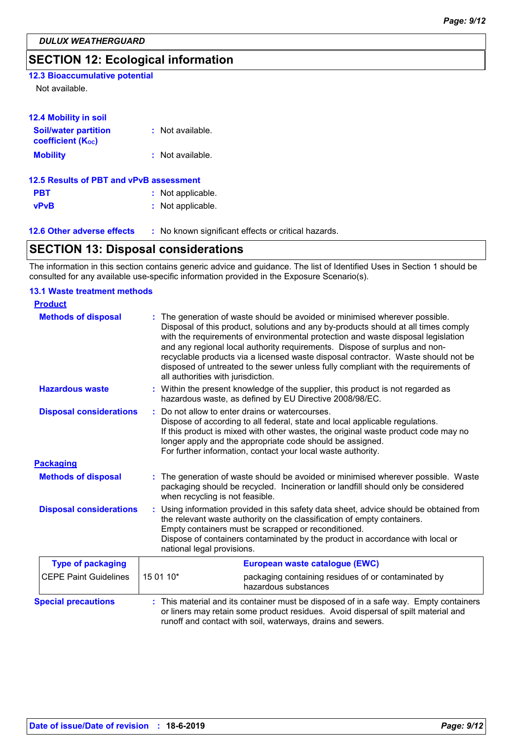# **SECTION 12: Ecological information**

### **12.3 Bioaccumulative potential**

Not available.

| <b>12.4 Mobility in soil</b>                            |                   |  |
|---------------------------------------------------------|-------------------|--|
| <b>Soil/water partition</b><br><b>coefficient (Koc)</b> | : Not available.  |  |
| <b>Mobility</b>                                         | : Not available.  |  |
| 12.5 Results of PBT and vPvB assessment                 |                   |  |
| <b>PBT</b>                                              | : Not applicable. |  |
| <b>vPvB</b>                                             | : Not applicable. |  |
|                                                         |                   |  |

| <b>12.6 Other adverse effects</b> | No known significant effects or critical hazards. |
|-----------------------------------|---------------------------------------------------|
|-----------------------------------|---------------------------------------------------|

# **SECTION 13: Disposal considerations**

The information in this section contains generic advice and guidance. The list of Identified Uses in Section 1 should be consulted for any available use-specific information provided in the Exposure Scenario(s).

#### Within the present knowledge of the supplier, this product is not regarded as hazardous waste, as defined by EU Directive 2008/98/EC. **Hazardous waste : Methods of disposal : 13.1 Waste treatment methods Product Packaging Methods of disposal : Special precautions :** The generation of waste should be avoided or minimised wherever possible. Waste packaging should be recycled. Incineration or landfill should only be considered when recycling is not feasible. This material and its container must be disposed of in a safe way. Empty containers or liners may retain some product residues. Avoid dispersal of spilt material and runoff and contact with soil, waterways, drains and sewers. The generation of waste should be avoided or minimised wherever possible. Disposal of this product, solutions and any by-products should at all times comply with the requirements of environmental protection and waste disposal legislation and any regional local authority requirements. Dispose of surplus and nonrecyclable products via a licensed waste disposal contractor. Waste should not be disposed of untreated to the sewer unless fully compliant with the requirements of all authorities with jurisdiction. : Do not allow to enter drains or watercourses. Dispose of according to all federal, state and local applicable regulations. If this product is mixed with other wastes, the original waste product code may no longer apply and the appropriate code should be assigned. For further information, contact your local waste authority. CEPE Paint Guidelines  $\begin{bmatrix} 15 & 0 & 10^* \\ 16 & 0 & 10 \end{bmatrix}$  packaging containing residues of or contaminated by hazardous substances **Type of packaging European waste catalogue (EWC) Disposal considerations : Disposal considerations :** Using information provided in this safety data sheet, advice should be obtained from the relevant waste authority on the classification of empty containers. Empty containers must be scrapped or reconditioned. Dispose of containers contaminated by the product in accordance with local or national legal provisions.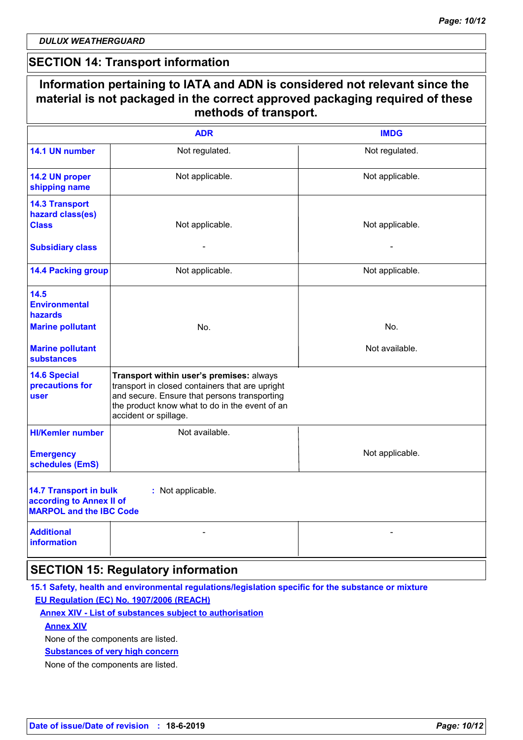*DULUX WEATHERGUARD*

# **SECTION 14: Transport information**

| Information pertaining to IATA and ADN is considered not relevant since the<br>material is not packaged in the correct approved packaging required of these<br>methods of transport. |                                                                                                                                                                                                                        |                       |  |  |
|--------------------------------------------------------------------------------------------------------------------------------------------------------------------------------------|------------------------------------------------------------------------------------------------------------------------------------------------------------------------------------------------------------------------|-----------------------|--|--|
| <b>ADR</b><br><b>IMDG</b>                                                                                                                                                            |                                                                                                                                                                                                                        |                       |  |  |
| 14.1 UN number                                                                                                                                                                       | Not regulated.                                                                                                                                                                                                         | Not regulated.        |  |  |
| 14.2 UN proper<br>shipping name                                                                                                                                                      | Not applicable.                                                                                                                                                                                                        | Not applicable.       |  |  |
| <b>14.3 Transport</b><br>hazard class(es)<br><b>Class</b><br><b>Subsidiary class</b>                                                                                                 | Not applicable.                                                                                                                                                                                                        | Not applicable.       |  |  |
| <b>14.4 Packing group</b>                                                                                                                                                            | Not applicable.                                                                                                                                                                                                        | Not applicable.       |  |  |
| 14.5<br><b>Environmental</b><br>hazards<br><b>Marine pollutant</b><br><b>Marine pollutant</b><br><b>substances</b>                                                                   | No.                                                                                                                                                                                                                    | No.<br>Not available. |  |  |
| <b>14.6 Special</b><br>precautions for<br>user                                                                                                                                       | Transport within user's premises: always<br>transport in closed containers that are upright<br>and secure. Ensure that persons transporting<br>the product know what to do in the event of an<br>accident or spillage. |                       |  |  |
| <b>HI/Kemler number</b><br><b>Emergency</b><br>schedules (EmS)                                                                                                                       | Not available.                                                                                                                                                                                                         | Not applicable.       |  |  |
| <b>14.7 Transport in bulk</b><br>according to Annex II of<br><b>MARPOL and the IBC Code</b>                                                                                          | : Not applicable.                                                                                                                                                                                                      |                       |  |  |
| <b>Additional</b><br><b>information</b>                                                                                                                                              |                                                                                                                                                                                                                        |                       |  |  |
|                                                                                                                                                                                      | <b>SECTION 15: Regulatory information</b>                                                                                                                                                                              |                       |  |  |

### **15.1 Safety, health and environmental regulations/legislation specific for the substance or mixture EU Regulation (EC) No. 1907/2006 (REACH)**

#### **Annex XIV - List of substances subject to authorisation**

#### **Annex XIV**

None of the components are listed.

#### **Substances of very high concern**

None of the components are listed.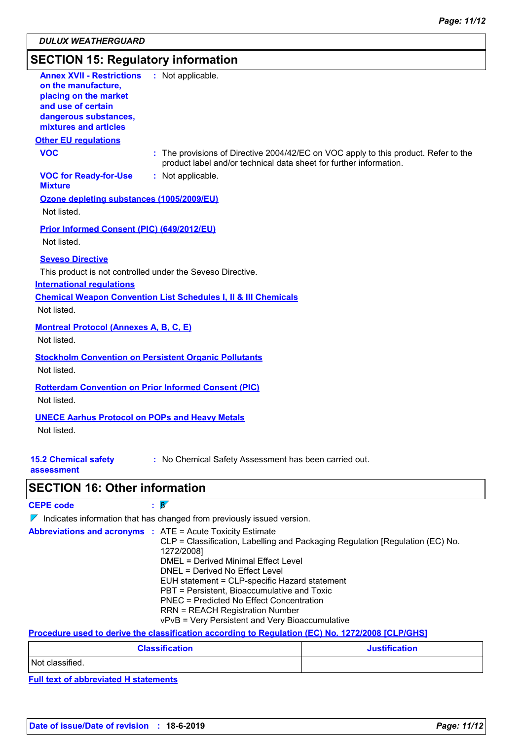# **SECTION 15: Regulatory information**

| <b>Annex XVII - Restrictions</b><br>on the manufacture,<br>placing on the market<br>and use of certain<br>dangerous substances,<br>mixtures and articles | : Not applicable.                                                                                                                                         |
|----------------------------------------------------------------------------------------------------------------------------------------------------------|-----------------------------------------------------------------------------------------------------------------------------------------------------------|
| <b>Other EU requlations</b>                                                                                                                              |                                                                                                                                                           |
| <b>VOC</b>                                                                                                                                               | : The provisions of Directive 2004/42/EC on VOC apply to this product. Refer to the<br>product label and/or technical data sheet for further information. |
| <b>VOC for Ready-for-Use</b><br><b>Mixture</b>                                                                                                           | : Not applicable.                                                                                                                                         |
| Ozone depleting substances (1005/2009/EU)<br>Not listed.                                                                                                 |                                                                                                                                                           |
| <b>Prior Informed Consent (PIC) (649/2012/EU)</b><br>Not listed.                                                                                         |                                                                                                                                                           |
| <b>Seveso Directive</b><br><b>International regulations</b><br>Not listed.                                                                               | This product is not controlled under the Seveso Directive.<br><b>Chemical Weapon Convention List Schedules I, II &amp; III Chemicals</b>                  |
| <b>Montreal Protocol (Annexes A, B, C, E)</b><br>Not listed.                                                                                             |                                                                                                                                                           |
| Not listed.                                                                                                                                              | <b>Stockholm Convention on Persistent Organic Pollutants</b>                                                                                              |
| Not listed.                                                                                                                                              | <b>Rotterdam Convention on Prior Informed Consent (PIC)</b>                                                                                               |
| <b>UNECE Aarhus Protocol on POPs and Heavy Metals</b><br>Not listed.                                                                                     |                                                                                                                                                           |
| <b>15.2 Chemical safety</b><br>assessment                                                                                                                | : No Chemical Safety Assessment has been carried out.                                                                                                     |

# **SECTION 16: Other information**

| <b>CEPE code</b> |  |
|------------------|--|
|------------------|--|

 $\nabla$  Indicates information that has changed from previously issued version.

| <b>Abbreviations and acronyms : ATE = Acute Toxicity Estimate</b> |                                                                               |
|-------------------------------------------------------------------|-------------------------------------------------------------------------------|
|                                                                   | CLP = Classification, Labelling and Packaging Regulation [Regulation (EC) No. |
|                                                                   | 1272/2008]                                                                    |
|                                                                   | DMEL = Derived Minimal Effect Level                                           |
|                                                                   | DNEL = Derived No Effect Level                                                |
|                                                                   | EUH statement = CLP-specific Hazard statement                                 |
|                                                                   | PBT = Persistent, Bioaccumulative and Toxic                                   |
|                                                                   | PNEC = Predicted No Effect Concentration                                      |
|                                                                   | <b>RRN = REACH Registration Number</b>                                        |
|                                                                   | vPvB = Very Persistent and Very Bioaccumulative                               |

### **Procedure used to derive the classification according to Regulation (EC) No. 1272/2008 [CLP/GHS]**

| <b>Classification</b> | <b>Justification</b> |
|-----------------------|----------------------|
| Not classified.       |                      |

**Full text of abbreviated H statements**